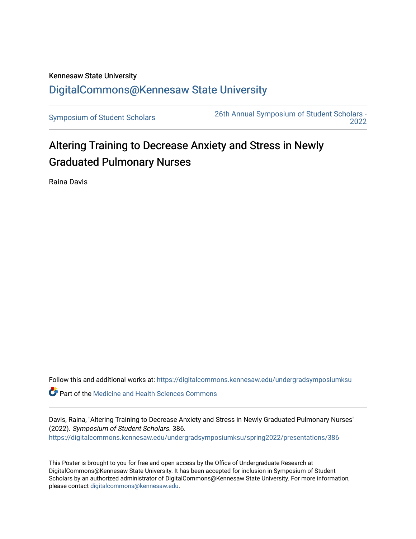## Kennesaw State University [DigitalCommons@Kennesaw State University](https://digitalcommons.kennesaw.edu/)

[Symposium of Student Scholars](https://digitalcommons.kennesaw.edu/undergradsymposiumksu) [26th Annual Symposium of Student Scholars -](https://digitalcommons.kennesaw.edu/undergradsymposiumksu/spring2022)  [2022](https://digitalcommons.kennesaw.edu/undergradsymposiumksu/spring2022) 

## Altering Training to Decrease Anxiety and Stress in Newly Graduated Pulmonary Nurses

Raina Davis

Follow this and additional works at: [https://digitalcommons.kennesaw.edu/undergradsymposiumksu](https://digitalcommons.kennesaw.edu/undergradsymposiumksu?utm_source=digitalcommons.kennesaw.edu%2Fundergradsymposiumksu%2Fspring2022%2Fpresentations%2F386&utm_medium=PDF&utm_campaign=PDFCoverPages) 

Part of the [Medicine and Health Sciences Commons](http://network.bepress.com/hgg/discipline/648?utm_source=digitalcommons.kennesaw.edu%2Fundergradsymposiumksu%2Fspring2022%2Fpresentations%2F386&utm_medium=PDF&utm_campaign=PDFCoverPages) 

Davis, Raina, "Altering Training to Decrease Anxiety and Stress in Newly Graduated Pulmonary Nurses" (2022). Symposium of Student Scholars. 386. [https://digitalcommons.kennesaw.edu/undergradsymposiumksu/spring2022/presentations/386](https://digitalcommons.kennesaw.edu/undergradsymposiumksu/spring2022/presentations/386?utm_source=digitalcommons.kennesaw.edu%2Fundergradsymposiumksu%2Fspring2022%2Fpresentations%2F386&utm_medium=PDF&utm_campaign=PDFCoverPages)

This Poster is brought to you for free and open access by the Office of Undergraduate Research at DigitalCommons@Kennesaw State University. It has been accepted for inclusion in Symposium of Student Scholars by an authorized administrator of DigitalCommons@Kennesaw State University. For more information, please contact [digitalcommons@kennesaw.edu.](mailto:digitalcommons@kennesaw.edu)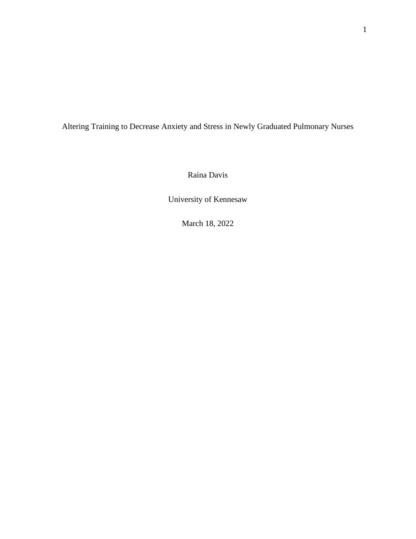Altering Training to Decrease Anxiety and Stress in Newly Graduated Pulmonary Nurses

Raina Davis

University of Kennesaw

March 18, 2022